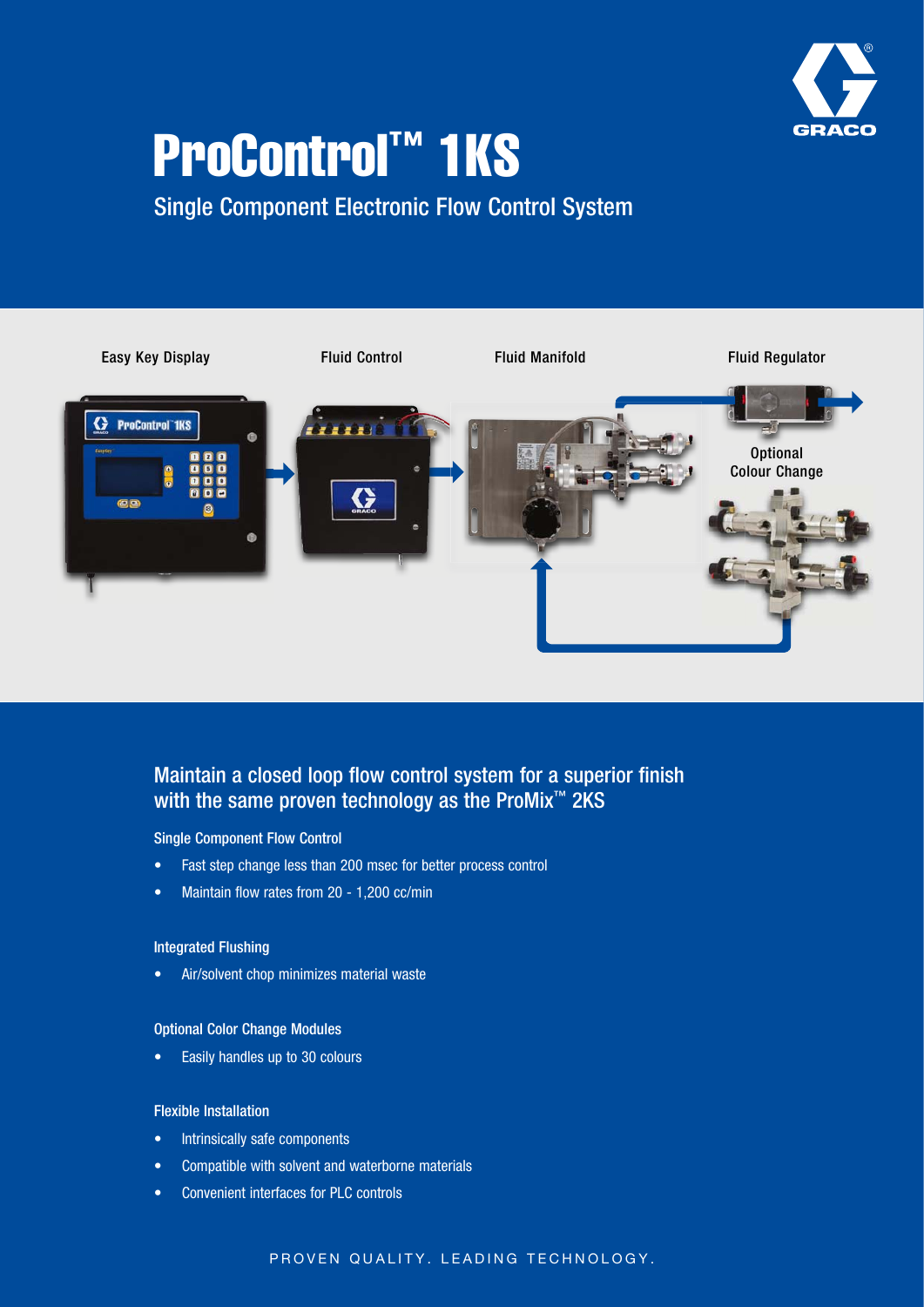

# ProControl™ 1KS

Single Component Electronic Flow Control System



# Maintain a closed loop flow control system for a superior finish with the same proven technology as the ProMix<sup>™</sup> 2KS

#### Single Component Flow Control

- Fast step change less than 200 msec for better process control
- Maintain flow rates from 20 1,200 cc/min

# Integrated Flushing

• Air/solvent chop minimizes material waste

#### Optional Color Change Modules

• Easily handles up to 30 colours

#### Flexible Installation

- Intrinsically safe components
- Compatible with solvent and waterborne materials
- Convenient interfaces for PLC controls

# PROVEN QUALITY. LEADING TECHNOLOGY.